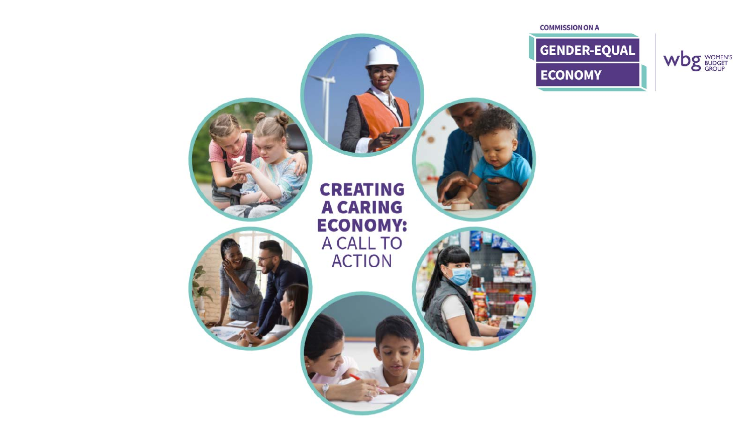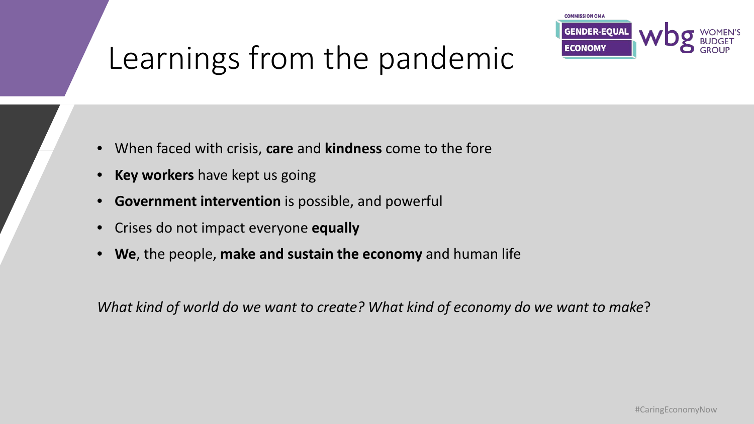

# Learnings from the pandemic

- When faced with crisis, **care** and **kindness** come to the fore
- **Key workers** have kept us going
- **Government intervention** is possible, and powerful
- Crises do not impact everyone **equally**
- **We**, the people, **make and sustain the economy** and human life

*What kind of world do we want to create? What kind of economy do we want to make*?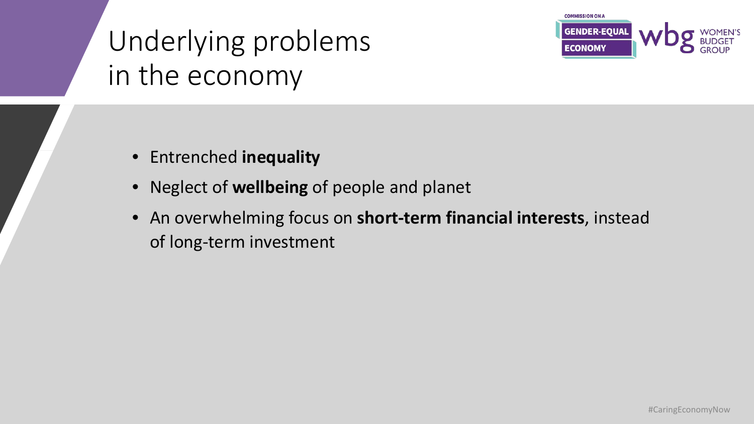### Underlying problems in the economy



- Entrenched **inequality**
- Neglect of **wellbeing** of people and planet
- An overwhelming focus on **short-term financial interests**, instead of long-term investment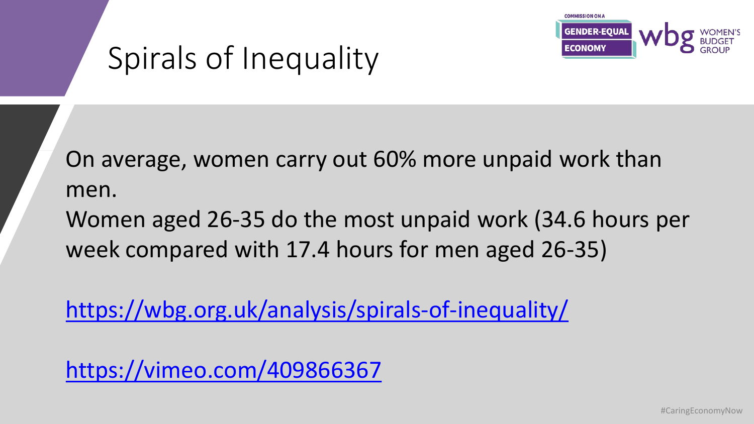

# Spirals of Inequality

On average, women carry out 60% more unpaid work than men. Women aged 26-35 do the most unpaid work (34.6 hours per

week compared with 17.4 hours for men aged 26-35)

<https://wbg.org.uk/analysis/spirals-of-inequality/>

<https://vimeo.com/409866367>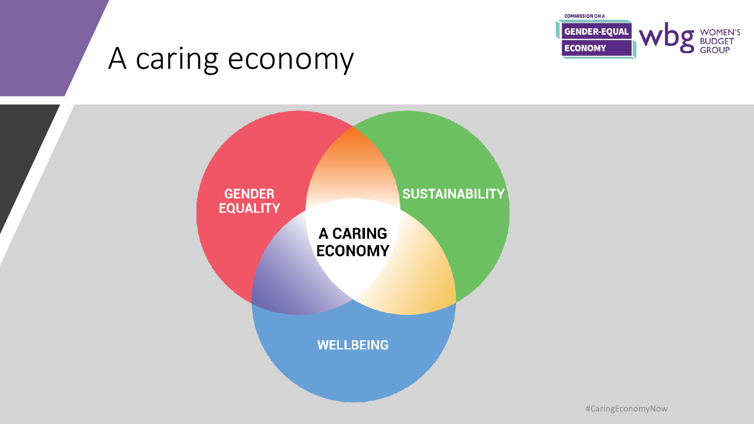

#### A caring economy

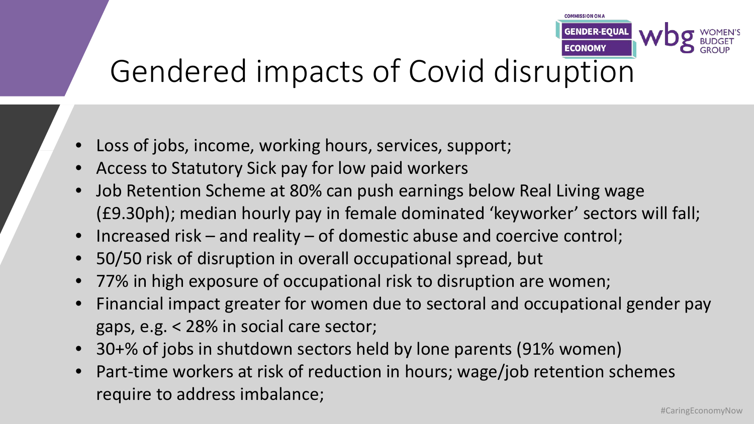

#### Gendered impacts of Covid disruption

- Loss of jobs, income, working hours, services, support;
- Access to Statutory Sick pay for low paid workers
- Job Retention Scheme at 80% can push earnings below Real Living wage (£9.30ph); median hourly pay in female dominated 'keyworker' sectors will fall;
- Increased risk and reality of domestic abuse and coercive control;
- 50/50 risk of disruption in overall occupational spread, but
- 77% in high exposure of occupational risk to disruption are women;
- Financial impact greater for women due to sectoral and occupational gender pay gaps, e.g. < 28% in social care sector;
- 30+% of jobs in shutdown sectors held by lone parents (91% women)
- Part-time workers at risk of reduction in hours; wage/job retention schemes require to address imbalance;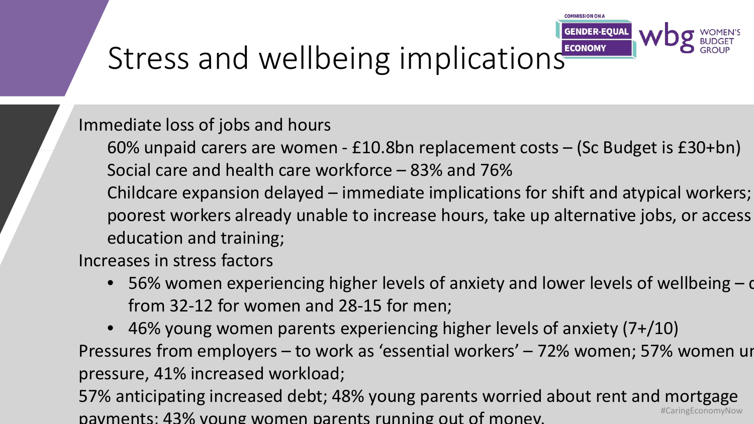

# Stress and wellbeing implications ECONOMY

Immediate loss of jobs and hours

60% unpaid carers are women - £10.8bn replacement costs – (Sc Budget is £30+bn) Social care and health care workforce – 83% and 76%

Childcare expansion delayed – immediate implications for shift and atypical workers; poorest workers already unable to increase hours, take up alternative jobs, or access education and training;

Increases in stress factors

• 56% women experiencing higher levels of anxiety and lower levels of wellbeing – d from 32-12 for women and 28-15 for men;

• 46% young women parents experiencing higher levels of anxiety (7+/10) Pressures from employers – to work as 'essential workers' – 72% women; 57% women un pressure, 41% increased workload;

#CaringEconomyNow 57% anticipating increased debt; 48% young parents worried about rent and mortgage payments; 43% young women parents running out of money.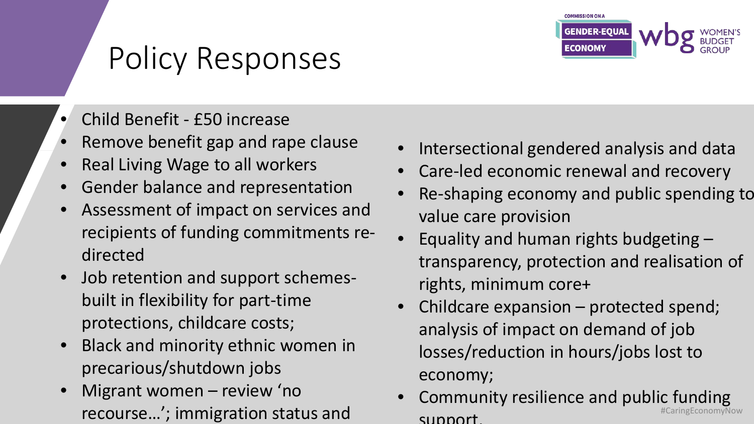

# Policy Responses

- Child Benefit £50 increase
- Remove benefit gap and rape clause
- Real Living Wage to all workers
- Gender balance and representation
- Assessment of impact on services and recipients of funding commitments redirected
- Job retention and support schemesbuilt in flexibility for part-time protections, childcare costs;
- Black and minority ethnic women in precarious/shutdown jobs
- Migrant women review 'no recourse…'; immigration status and
- Intersectional gendered analysis and data
- Care-led economic renewal and recovery
- Re-shaping economy and public spending to value care provision
- Equality and human rights budgeting  $$ transparency, protection and realisation of rights, minimum core+
- Childcare expansion protected spend; analysis of impact on demand of job losses/reduction in hours/jobs lost to economy;
- #CaringEconomyNow • Community resilience and public funding support.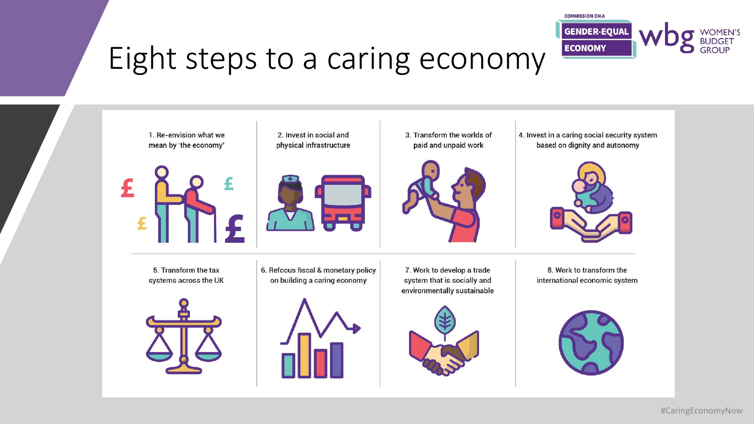

#### Eight steps to a caring economy

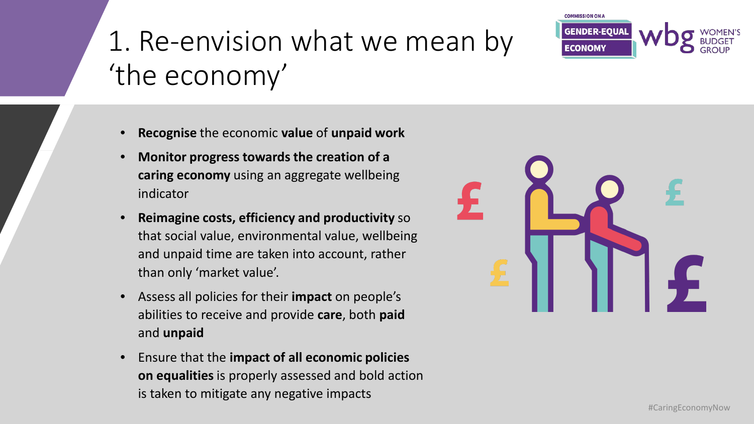### 1. Re-envision what we mean by 'the economy'



- **Monitor progress towards the creation of a caring economy** using an aggregate wellbeing indicator
- **Reimagine costs, efficiency and productivity** so that social value, environmental value, wellbeing and unpaid time are taken into account, rather than only 'market value'.
- Assess all policies for their **impact** on people's abilities to receive and provide **care**, both **paid** and **unpaid**
- Ensure that the **impact of all economic policies on equalities** is properly assessed and bold action is taken to mitigate any negative impacts



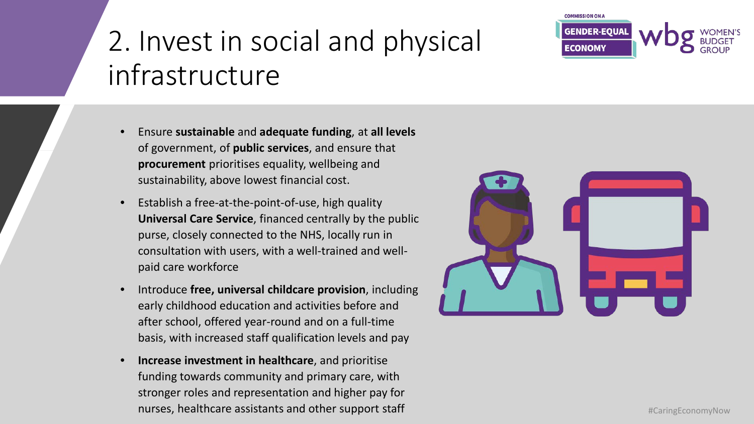#### 2. Invest in social and physical infrastructure

- Ensure **sustainable** and **adequate funding**, at **all levels** of government, of **public services**, and ensure that **procurement** prioritises equality, wellbeing and sustainability, above lowest financial cost.
- Establish a free-at-the-point-of-use, high quality **Universal Care Service**, financed centrally by the public purse, closely connected to the NHS, locally run in consultation with users, with a well-trained and wellpaid care workforce
- Introduce **free, universal childcare provision**, including early childhood education and activities before and after school, offered year-round and on a full-time basis, with increased staff qualification levels and pay
- **Increase investment in healthcare**, and prioritise funding towards community and primary care, with stronger roles and representation and higher pay for nurses, healthcare assistants and other support staff **Aring Constants and Structure 2016** #CaringEconomyNow



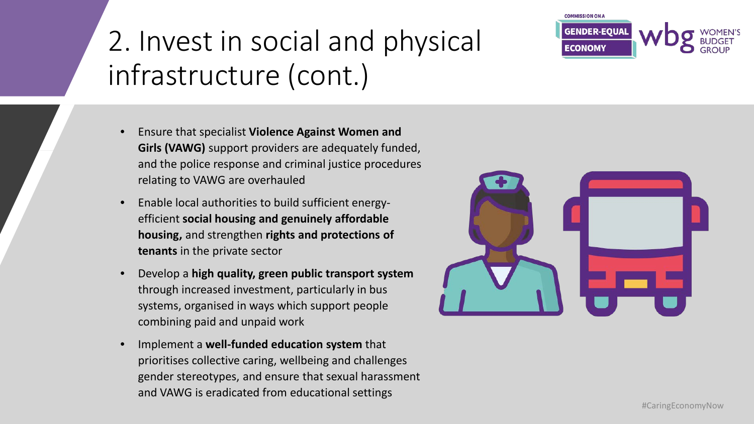### 2. Invest in social and physical infrastructure (cont.)

- Ensure that specialist **Violence Against Women and Girls (VAWG)** support providers are adequately funded, and the police response and criminal justice procedures relating to VAWG are overhauled
- Enable local authorities to build sufficient energyefficient **social housing and genuinely affordable housing,** and strengthen **rights and protections of tenants** in the private sector
- Develop a **high quality, green public transport system** through increased investment, particularly in bus systems, organised in ways which support people combining paid and unpaid work
- Implement a **well-funded education system** that prioritises collective caring, wellbeing and challenges gender stereotypes, and ensure that sexual harassment and VAWG is eradicated from educational settings



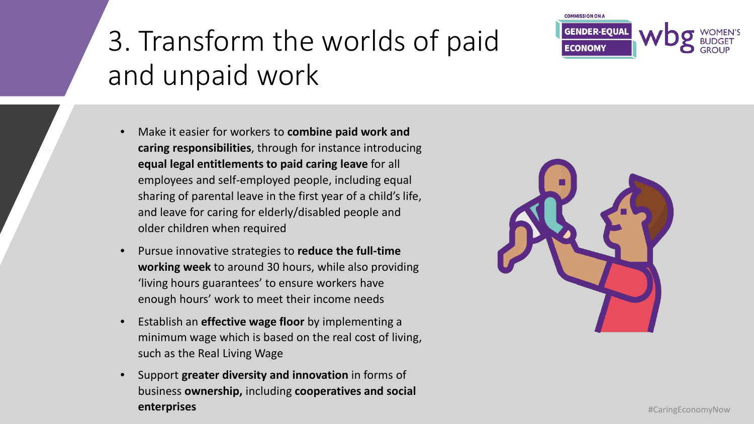

## 3. Transform the worlds of paid and unpaid work

- Make it easier for workers to **combine paid work and caring responsibilities**, through for instance introducing **equal legal entitlements to paid caring leave** for all employees and self-employed people, including equal sharing of parental leave in the first year of a child's life, and leave for caring for elderly/disabled people and older children when required
- Pursue innovative strategies to **reduce the full-time working week** to around 30 hours, while also providing 'living hours guarantees' to ensure workers have enough hours' work to meet their income needs
- Establish an **effective wage floor** by implementing a minimum wage which is based on the real cost of living, such as the Real Living Wage
- Support **greater diversity and innovation** in forms of business **ownership,** including **cooperatives and social enterprises** #CaringEconomyNow

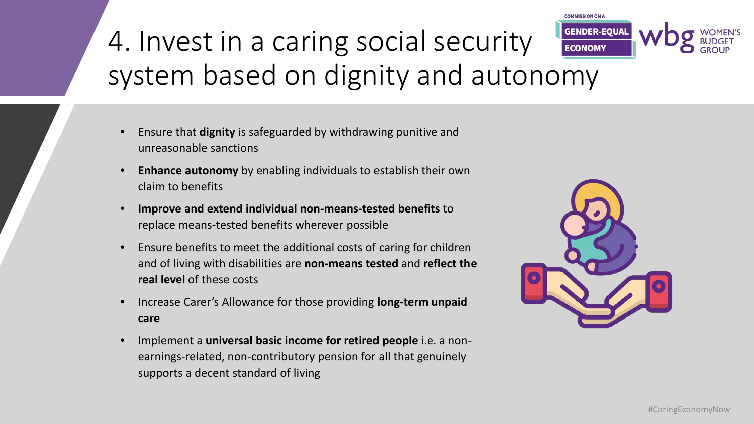#### **GENDER-EQUAL** 4. Invest in a caring social security **ECONOMY** system based on dignity and autonomy

- Ensure that **dignity** is safeguarded by withdrawing punitive and unreasonable sanctions
- **Enhance autonomy** by enabling individuals to establish their own claim to benefits
- **Improve and extend individual non-means-tested benefits** to replace means-tested benefits wherever possible
- Ensure benefits to meet the additional costs of caring for children and of living with disabilities are **non-means tested** and **reflect the real level** of these costs
- Increase Carer's Allowance for those providing **long-term unpaid care**
- Implement a **universal basic income for retired people** i.e. a nonearnings-related, non-contributory pension for all that genuinely supports a decent standard of living



**COMMISSION ON A**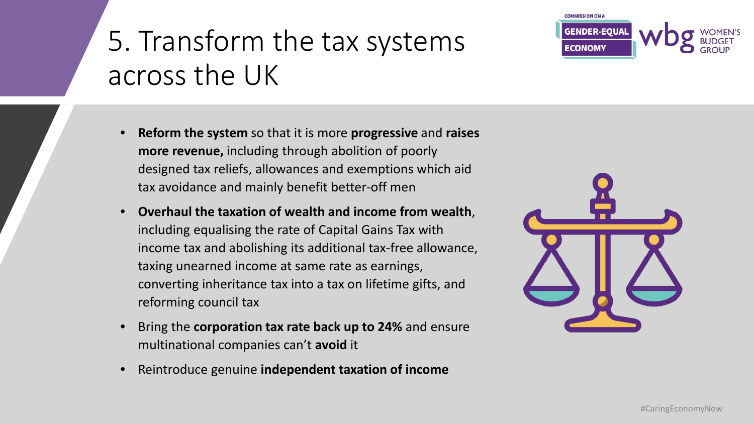#### 5. Transform the tax systems across the UK

- **Reform the system** so that it is more **progressive** and **raises more revenue,** including through abolition of poorly designed tax reliefs, allowances and exemptions which aid tax avoidance and mainly benefit better-off men
- **Overhaul the taxation of wealth and income from wealth**, including equalising the rate of Capital Gains Tax with income tax and abolishing its additional tax-free allowance, taxing unearned income at same rate as earnings, converting inheritance tax into a tax on lifetime gifts, and reforming council tax
- Bring the **corporation tax rate back up to 24%** and ensure multinational companies can't **avoid** it
- Reintroduce genuine **independent taxation of income**





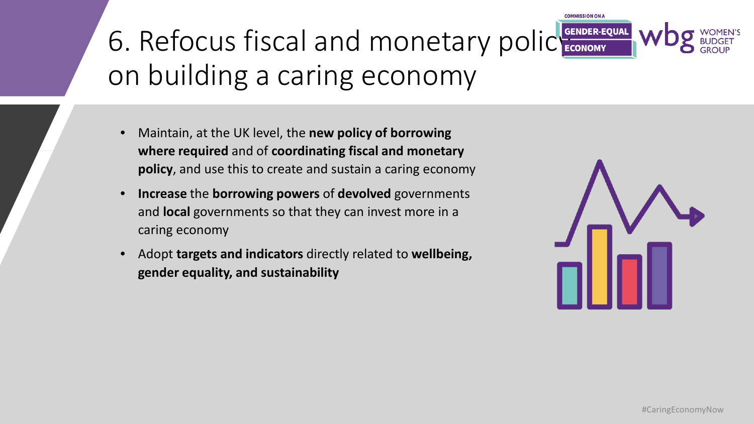# 6. Refocus fiscal and monetary policy GENDER-EQUAL on building a caring economy

- Maintain, at the UK level, the **new policy of borrowing where required** and of **coordinating fiscal and monetary policy**, and use this to create and sustain a caring economy
- **Increase** the **borrowing powers** of **devolved** governments and **local** governments so that they can invest more in a caring economy
- Adopt **targets and indicators** directly related to **wellbeing, gender equality, and sustainability**



**OMMISSION ON A**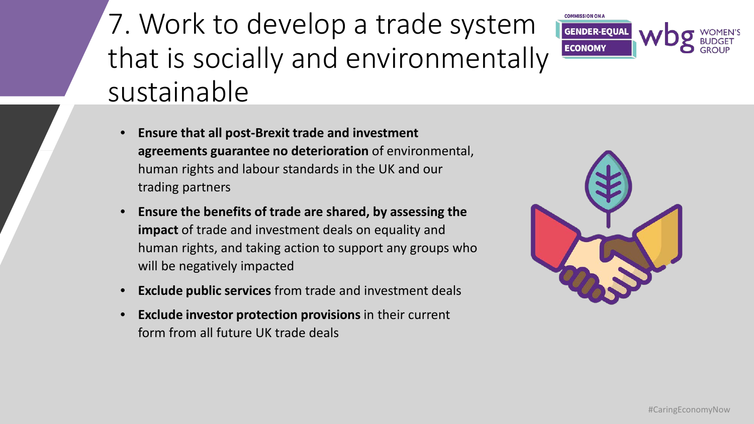### 7. Work to develop a trade system that is socially and environmentally sustainable



- **Ensure that all post-Brexit trade and investment agreements guarantee no deterioration** of environmental, human rights and labour standards in the UK and our trading partners
- **Ensure the benefits of trade are shared, by assessing the impact** of trade and investment deals on equality and human rights, and taking action to support any groups who will be negatively impacted
- **Exclude public services** from trade and investment deals
- **Exclude investor protection provisions** in their current form from all future UK trade deals

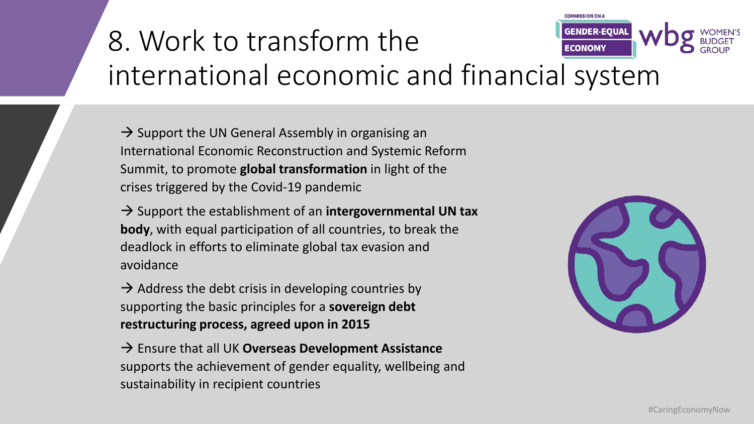#### **GENDER-EQUAI** 8. Work to transform the **ECONOMY** international economic and financial system

 $\rightarrow$  Support the UN General Assembly in organising an International Economic Reconstruction and Systemic Reform Summit, to promote **global transformation** in light of the crises triggered by the Covid-19 pandemic

 $\rightarrow$  Support the establishment of an **intergovernmental UN tax body**, with equal participation of all countries, to break the deadlock in efforts to eliminate global tax evasion and avoidance

 $\rightarrow$  Address the debt crisis in developing countries by supporting the basic principles for a **sovereign debt restructuring process, agreed upon in 2015**

→ Ensure that all UK Overseas Development Assistance supports the achievement of gender equality, wellbeing and sustainability in recipient countries



**MO MOI22IMMOT**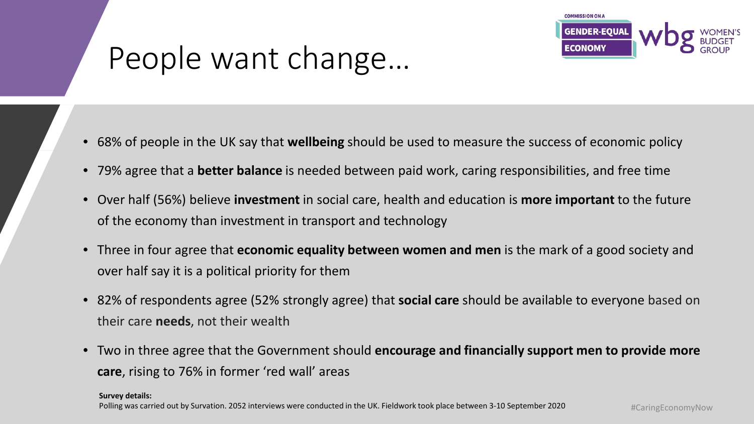

#### People want change…

- 68% of people in the UK say that **wellbeing** should be used to measure the success of economic policy
- 79% agree that a **better balance** is needed between paid work, caring responsibilities, and free time
- Over half (56%) believe **investment** in social care, health and education is **more important** to the future of the economy than investment in transport and technology
- Three in four agree that **economic equality between women and men** is the mark of a good society and over half say it is a political priority for them
- 82% of respondents agree (52% strongly agree) that **social care** should be available to everyone based on their care **needs**, not their wealth
- Two in three agree that the Government should **encourage and financially support men to provide more care**, rising to 76% in former 'red wall' areas

**Survey details:**

Polling was carried out by Survation. 2052 interviews were conducted in the UK. Fieldwork took place between 3-10 September 2020 #CaringEconomyNow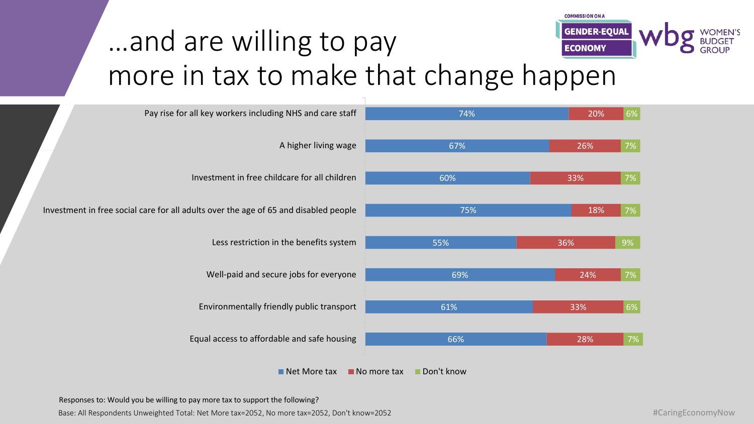

#### …and are willing to pay more in tax to make that change happen

| Pay rise for all key workers including NHS and care staff                            | 74%                                      | 20% | 6% |
|--------------------------------------------------------------------------------------|------------------------------------------|-----|----|
| A higher living wage                                                                 | 67%                                      | 26% | 7% |
| Investment in free childcare for all children                                        | 60%                                      | 33% | 7% |
| Investment in free social care for all adults over the age of 65 and disabled people | 75%                                      | 18% | 7% |
| Less restriction in the benefits system                                              | 55%                                      | 36% | 9% |
| Well-paid and secure jobs for everyone                                               | 69%                                      | 24% | 7% |
| Environmentally friendly public transport                                            | 61%                                      | 33% | 6% |
| Equal access to affordable and safe housing                                          | 66%                                      | 28% | 7% |
| $\blacksquare$ Net More tax                                                          | Don't know<br>$\blacksquare$ No more tax |     |    |

Responses to: Would you be willing to pay more tax to support the following?

Base: All Respondents Unweighted Total: Net More tax=2052, No more tax=2052, Don't know=2052 **#CaringEconomyNow**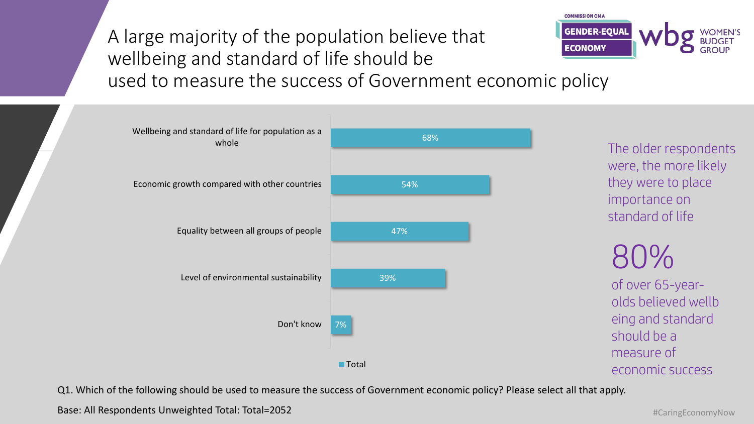**GENDER-EQUAL** A large majority of the population believe that **ECONOMY** wellbeing and standard of life should be used to measure the success of Government economic policy



The older respondents were, the more likely they were to place importance on standard of life

**COMMISSION ON A** 

80% of over 65-yearolds believed wellb eing and standard should be a measure of economic success

Q1. Which of the following should be used to measure the success of Government economic policy? Please select all that apply.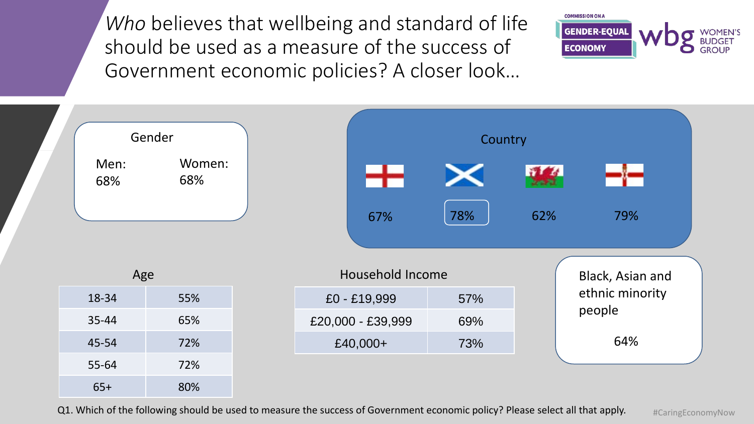*Who* believes that wellbeing and standard of life should be used as a measure of the success of Government economic policies? A closer look…





Q1. Which of the following should be used to measure the success of Government economic policy? Please select all that apply.

#CaringEconomyNow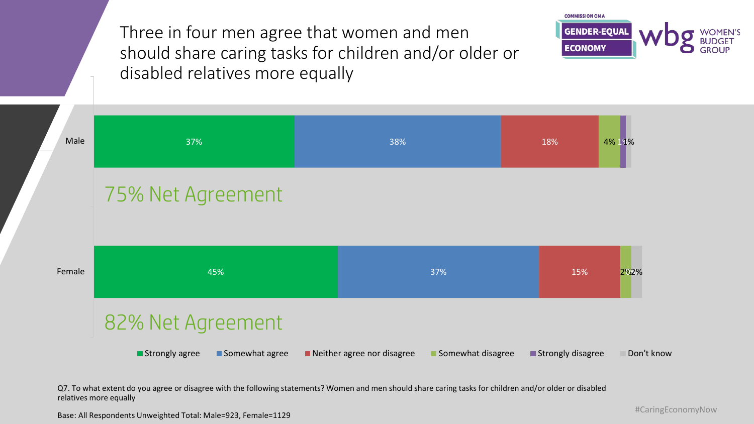Three in four men agree that women and men should share caring tasks for children and/or older or disabled relatives more equally





Q7. To what extent do you agree or disagree with the following statements? Women and men should share caring tasks for children and/or older or disabled relatives more equally

Base: All Respondents Unweighted Total: Male=923, Female=1129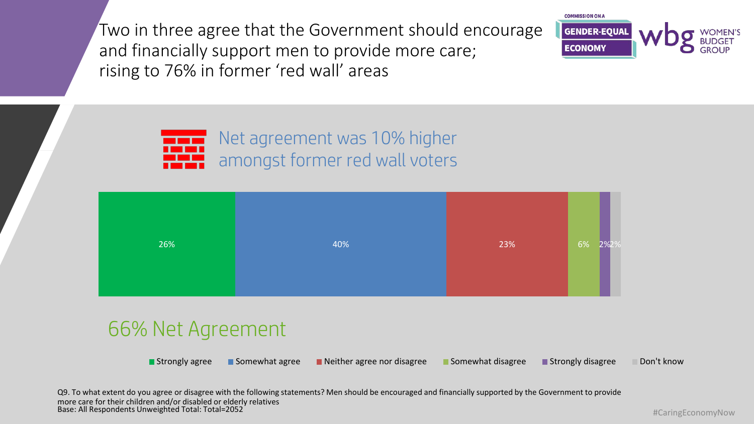Two in three agree that the Government should encourage and financially support men to provide more care; rising to 76% in former 'red wall' areas



Net agreement was 10% higher amongst former red wall voters

| 26% | 40% | 23% | 6%<br>2%2% |
|-----|-----|-----|------------|
|     |     |     |            |

#### 66% Net Agreement

Strongly agree Somewhat agree Neither agree nor disagree Somewhat disagree Strongly disagree Don't know

Base: All Respondents Unweighted Total: Total=2052 Q9. To what extent do you agree or disagree with the following statements? Men should be encouraged and financially supported by the Government to provide more care for their children and/or disabled or elderly relatives

#CaringEconomyNow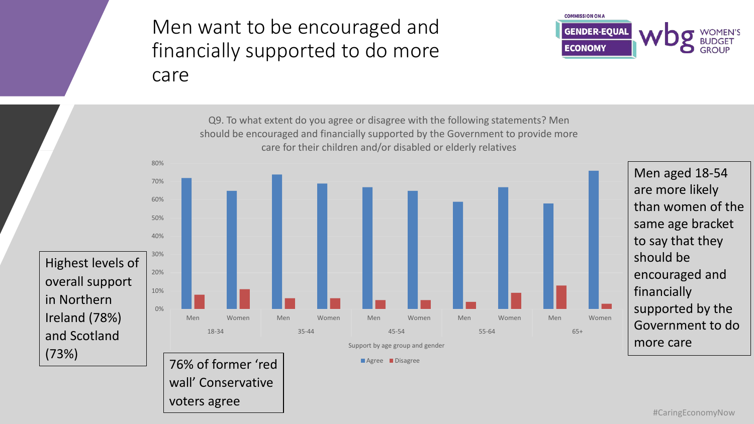#### Men want to be encouraged and financially supported to do more care

voters agree



76% of former 'red wall' Conservative 0% 10% 20% 30% 40% 50% 60% 70% 80% Men Women Men Women Men Women Men Women Men Women 18-34 35-44 45-54 55-64 65+ Support by age group and gender Q9. To what extent do you agree or disagree with the following statements? Men should be encouraged and financially supported by the Government to provide more care for their children and/or disabled or elderly relatives **Agree** Disagree Men aged 18-54 are more likely than women of the same age bracket to say that they should be encouraged and financially supported by the Government to do more care Highest levels of overall support in Northern Ireland (78%) and Scotland (73%)

#### #CaringEconomyNow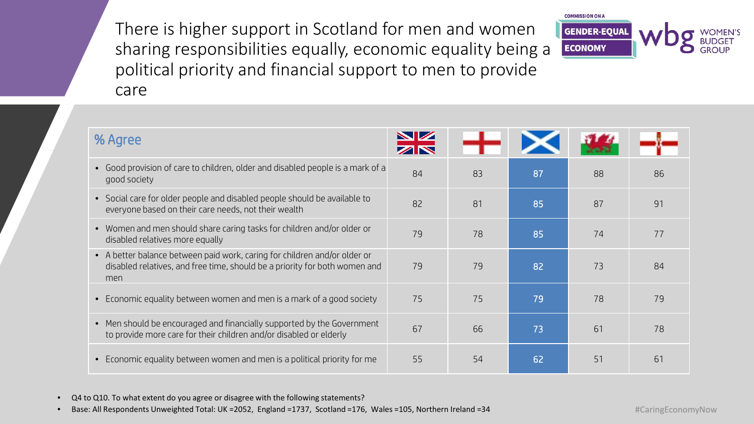There is higher support in Scotland for men and women sharing responsibilities equally, economic equality being a political priority and financial support to men to provide care



• Q4 to Q10. To what extent do you agree or disagree with the following statements?

• Base: All Respondents Unweighted Total: UK =2052, England =1737, Scotland =176, Wales =105, Northern Ireland =34

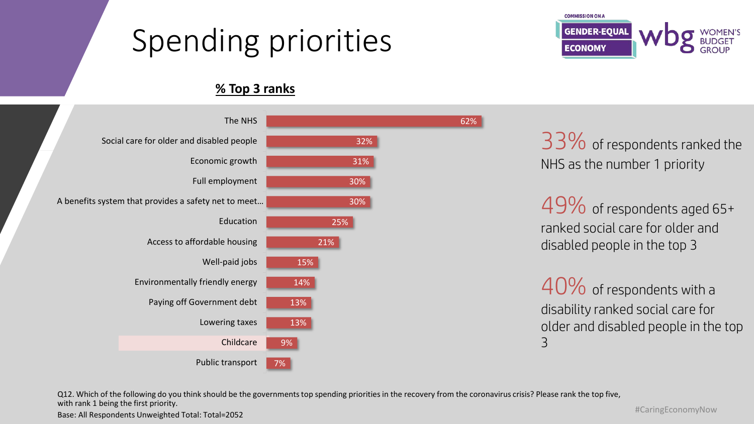### Spending priorities



#### **% Top 3 ranks**



33% of respondents ranked the NHS as the number 1 priority

49% of respondents aged 65+ ranked social care for older and disabled people in the top 3

40% of respondents with a disability ranked social care for older and disabled people in the top 3

Q12. Which of the following do you think should be the governments top spending priorities in the recovery from the coronavirus crisis? Please rank the top five, with rank 1 being the first priority.

Base: All Respondents Unweighted Total: Total=2052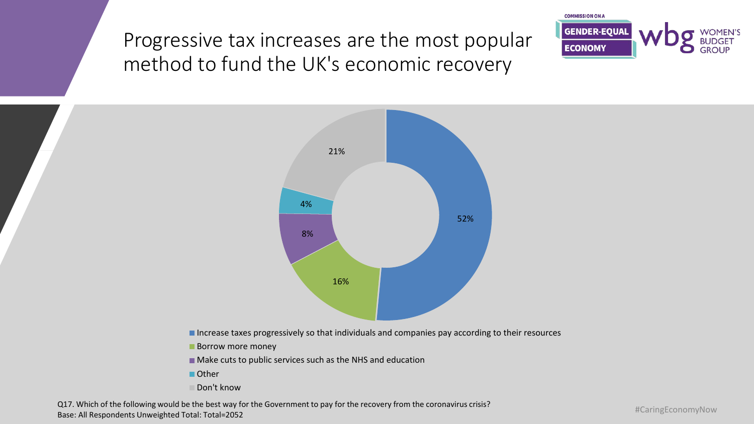Progressive tax increases are the most popular method to fund the UK's economic recovery





Increase taxes progressively so that individuals and companies pay according to their resources

**Borrow more money** 

Make cuts to public services such as the NHS and education

■ Other

■ Don't know

Base: All Respondents Unweighted Total: Total=2052 Q17. Which of the following would be the best way for the Government to pay for the recovery from the coronavirus crisis?

#CaringEconomyNow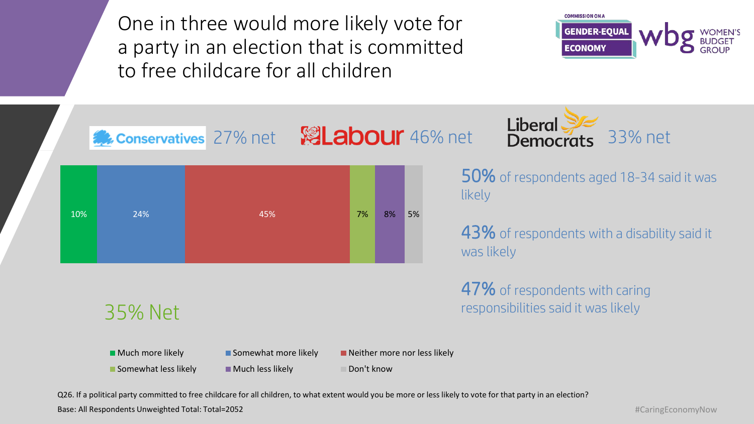One in three would more likely vote for a party in an election that is committed to free childcare for all children





50% of respondents aged 18-34 said it was likely

43% of respondents with a disability said it was likely

47% of respondents with caring responsibilities said it was likely

#### 35% Net

**Much more likely Somewhat more likely Neither more nor less likely** Neither more nor less likely

 $\blacksquare$  Somewhat less likely  $\blacksquare$  Much less likely  $\blacksquare$  Don't know

Q26. If a political party committed to free childcare for all children, to what extent would you be more or less likely to vote for that party in an election?

Base: All Respondents Unweighted Total: Total=2052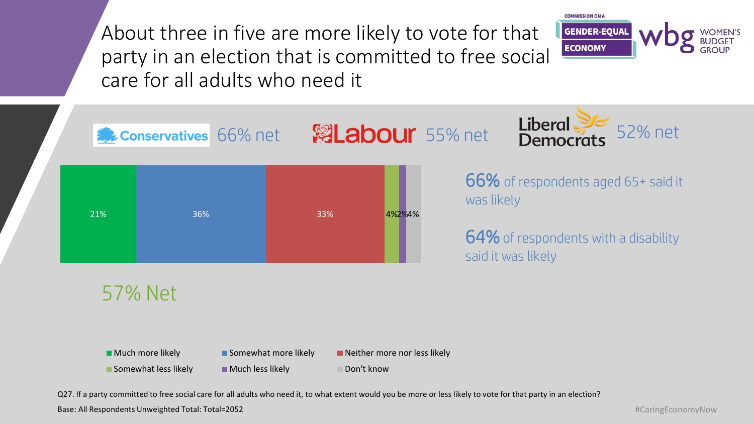About three in five are more likely to vote for that party in an election that is committed to free social care for all adults who need it





#### 57% Net



Q27. If a party committed to free social care for all adults who need it, to what extent would you be more or less likely to vote for that party in an election?

Base: All Respondents Unweighted Total: Total=2052